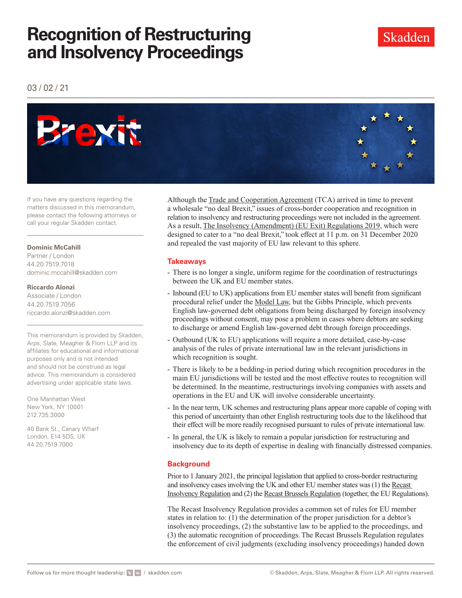# **Recognition of Restructuring and Insolvency Proceedings**

03 / 02 / 21



If you have any questions regarding the matters discussed in this memorandum, please contact the following attorneys or call your regular Skadden contact.

#### **Dominic McCahill**

Partner / London 44.20.7519.7018 dominic.mccahill@skadden.com

#### **Riccardo Alonzi**

Associate / London 44.20.7519.7056 riccardo.alonzi@skadden.com

This memorandum is provided by Skadden, Arps, Slate, Meagher & Flom LLP and its affiliates for educational and informational purposes only and is not intended and should not be construed as legal advice. This memorandum is considered advertising under applicable state laws.

One Manhattan West New York, NY 10001 212.735.3000

40 Bank St., Canary Wharf London, E14 5DS, UK 44.20.7519.7000

Although the [Trade and Cooperation Agreement](http://www.skadden.com/-/media/files/publications/2021/02/insights-special-edition-brexit/trade_and_cooperation_agreement.pdf) (TCA) arrived in time to prevent a wholesale "no deal Brexit," issues of cross-border cooperation and recognition in relation to insolvency and restructuring proceedings were not included in the agreement. As a result, [The Insolvency \(Amendment\) \(EU Exit\) Regulations 2019,](https://www.legislation.gov.uk/uksi/2019/146/contents) which were designed to cater to a "no deal Brexit," took effect at 11 p.m. on 31 December 2020 and repealed the vast majority of EU law relevant to this sphere.

### **Takeaways**

- There is no longer a single, uniform regime for the coordination of restructurings between the UK and EU member states.
- Inbound (EU to UK) applications from EU member states will benefit from significant procedural relief under the [Model Law,](http://www.skadden.com/-/media/files/publications/2021/02/insights-special-edition-brexit/model_law.pdf) but the Gibbs Principle, which prevents English law-governed debt obligations from being discharged by foreign insolvency proceedings without consent, may pose a problem in cases where debtors are seeking to discharge or amend English law-governed debt through foreign proceedings.
- Outbound (UK to EU) applications will require a more detailed, case-by-case analysis of the rules of private international law in the relevant jurisdictions in which recognition is sought.
- There is likely to be a bedding-in period during which recognition procedures in the main EU jurisdictions will be tested and the most effective routes to recognition will be determined. In the meantime, restructurings involving companies with assets and operations in the EU and UK will involve considerable uncertainty.
- In the near term, UK schemes and restructuring plans appear more capable of coping with this period of uncertainty than other English restructuring tools due to the likelihood that their effect will be more readily recognised pursuant to rules of private international law.
- In general, the UK is likely to remain a popular jurisdiction for restructuring and insolvency due to its depth of expertise in dealing with financially distressed companies.

## **Background**

Prior to 1 January 2021, the principal legislation that applied to cross-border restructuring and insolvency cases involving the UK and other EU member states was (1) the [Recast](https://eur-lex.europa.eu/legal-content/en/TXT/?uri=CELEX%3A32015R0848)  [Insolvency Regulation](https://eur-lex.europa.eu/legal-content/en/TXT/?uri=CELEX%3A32015R0848) and (2) the [Recast Brussels Regulation](https://eur-lex.europa.eu/legal-content/EN/ALL/?uri=celex%3A32012R1215) (together, the EU Regulations).

The Recast Insolvency Regulation provides a common set of rules for EU member states in relation to: (1) the determination of the proper jurisdiction for a debtor's insolvency proceedings, (2) the substantive law to be applied to the proceedings, and (3) the automatic recognition of proceedings. The Recast Brussels Regulation regulates the enforcement of civil judgments (excluding insolvency proceedings) handed down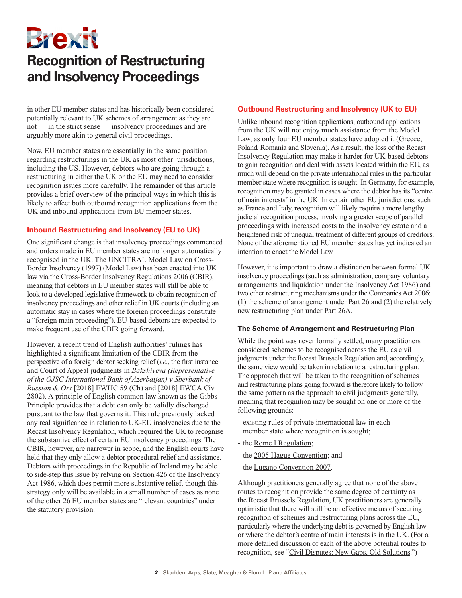Brexit

# **Recognition of Restructuring and Insolvency Proceedings**

in other EU member states and has historically been considered potentially relevant to UK schemes of arrangement as they are not — in the strict sense — insolvency proceedings and are arguably more akin to general civil proceedings.

Now, EU member states are essentially in the same position regarding restructurings in the UK as most other jurisdictions, including the US. However, debtors who are going through a restructuring in either the UK or the EU may need to consider recognition issues more carefully. The remainder of this article provides a brief overview of the principal ways in which this is likely to affect both outbound recognition applications from the UK and inbound applications from EU member states.

### **Inbound Restructuring and Insolvency (EU to UK)**

One significant change is that insolvency proceedings commenced and orders made in EU member states are no longer automatically recognised in the UK. The UNCITRAL Model Law on Cross-Border Insolvency (1997) (Model Law) has been enacted into UK law via the [Cross-Border Insolvency Regulations 2006](https://www.legislation.gov.uk/uksi/2006/1030/contents/made) (CBIR), meaning that debtors in EU member states will still be able to look to a developed legislative framework to obtain recognition of insolvency proceedings and other relief in UK courts (including an automatic stay in cases where the foreign proceedings constitute a "foreign main proceeding"). EU-based debtors are expected to make frequent use of the CBIR going forward.

However, a recent trend of English authorities' rulings has highlighted a significant limitation of the CBIR from the perspective of a foreign debtor seeking relief (*i.e.*, the first instance and Court of Appeal judgments in *Bakshiyeva (Representative of the OJSC International Bank of Azerbaijan) v Sberbank of Russion & Ors* [2018] EWHC 59 (Ch) and [2018] EWCA Civ 2802). A principle of English common law known as the Gibbs Principle provides that a debt can only be validly discharged pursuant to the law that governs it. This rule previously lacked any real significance in relation to UK-EU insolvencies due to the Recast Insolvency Regulation, which required the UK to recognise the substantive effect of certain EU insolvency proceedings. The CBIR, however, are narrower in scope, and the English courts have held that they only allow a debtor procedural relief and assistance. Debtors with proceedings in the Republic of Ireland may be able to side-step this issue by relying on [Section 426](https://www.legislation.gov.uk/ukpga/1986/45/section/426) of the Insolvency Act 1986, which does permit more substantive relief, though this strategy only will be available in a small number of cases as none of the other 26 EU member states are "relevant countries" under the statutory provision.

### **Outbound Restructuring and Insolvency (UK to EU)**

Unlike inbound recognition applications, outbound applications from the UK will not enjoy much assistance from the Model Law, as only four EU member states have adopted it (Greece, Poland, Romania and Slovenia). As a result, the loss of the Recast Insolvency Regulation may make it harder for UK-based debtors to gain recognition and deal with assets located within the EU, as much will depend on the private international rules in the particular member state where recognition is sought. In Germany, for example, recognition may be granted in cases where the debtor has its "centre of main interests" in the UK. In certain other EU jurisdictions, such as France and Italy, recognition will likely require a more lengthy judicial recognition process, involving a greater scope of parallel proceedings with increased costs to the insolvency estate and a heightened risk of unequal treatment of different groups of creditors. None of the aforementioned EU member states has yet indicated an intention to enact the Model Law.

However, it is important to draw a distinction between formal UK insolvency proceedings (such as administration, company voluntary arrangements and liquidation under the Insolvency Act 1986) and two other restructuring mechanisms under the Companies Act 2006: (1) the scheme of arrangement under [Part 26](https://www.legislation.gov.uk/ukpga/2006/46/part/26) and (2) the relatively new restructuring plan under [Part 26A.](https://www.legislation.gov.uk/ukpga/2006/46/part/26A)

#### **The Scheme of Arrangement and Restructuring Plan**

While the point was never formally settled, many practitioners considered schemes to be recognised across the EU as civil judgments under the Recast Brussels Regulation and, accordingly, the same view would be taken in relation to a restructuring plan. The approach that will be taken to the recognition of schemes and restructuring plans going forward is therefore likely to follow the same pattern as the approach to civil judgments generally, meaning that recognition may be sought on one or more of the following grounds:

- existing rules of private international law in each member state where recognition is sought;
- the [Rome I Regulation;](https://eur-lex.europa.eu/legal-content/EN/TXT/HTML/?uri=CELEX:32008R0593&from=EN)
- the [2005 Hague Convention;](https://www.hcch.net/en/instruments/conventions/full-text/?cid=98) and
- the [Lugano Convention 2007](https://eur-lex.europa.eu/legal-content/EN/TXT/HTML/?uri=CELEX:22007A1221(03)&from=EN).

Although practitioners generally agree that none of the above routes to recognition provide the same degree of certainty as the Recast Brussels Regulation, UK practitioners are generally optimistic that there will still be an effective means of securing recognition of schemes and restructuring plans across the EU, particularly where the underlying debt is governed by English law or where the debtor's centre of main interests is in the UK. (For a more detailed discussion of each of the above potential routes to recognition, see ["Civil Disputes: New Gaps, Old Solutions.](http://www.skadden.com/insights/publications/2021/02/insights-special-edition-brexit/civil-disputes)")